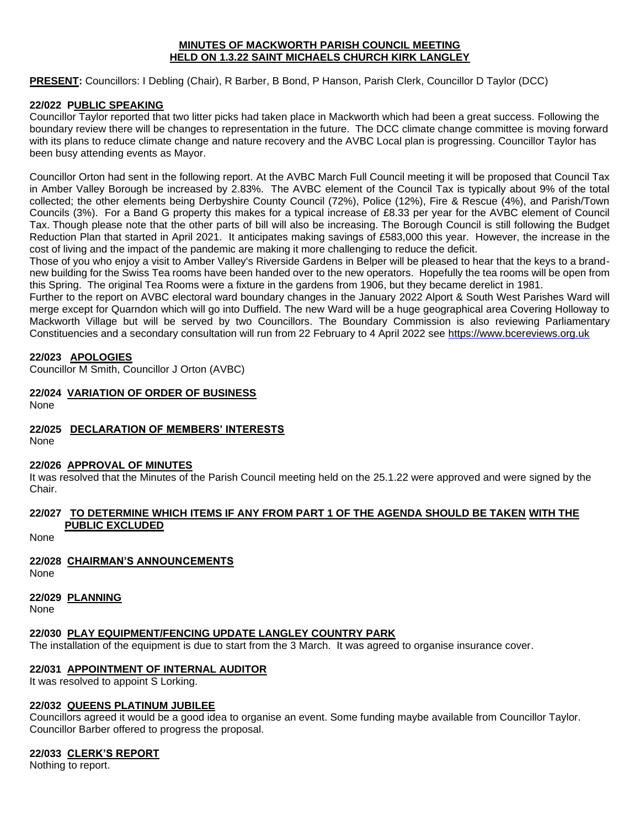#### **MINUTES OF MACKWORTH PARISH COUNCIL MEETING HELD ON 1.3.22 SAINT MICHAELS CHURCH KIRK LANGLEY**

**PRESENT:** Councillors: I Debling (Chair), R Barber, B Bond, P Hanson, Parish Clerk, Councillor D Taylor (DCC)

# **22/022 PUBLIC SPEAKING**

Councillor Taylor reported that two litter picks had taken place in Mackworth which had been a great success. Following the boundary review there will be changes to representation in the future. The DCC climate change committee is moving forward with its plans to reduce climate change and nature recovery and the AVBC Local plan is progressing. Councillor Taylor has been busy attending events as Mayor.

Councillor Orton had sent in the following report. At the AVBC March Full Council meeting it will be proposed that Council Tax in Amber Valley Borough be increased by 2.83%. The AVBC element of the Council Tax is typically about 9% of the total collected; the other elements being Derbyshire County Council (72%), Police (12%), Fire & Rescue (4%), and Parish/Town Councils (3%). For a Band G property this makes for a typical increase of £8.33 per year for the AVBC element of Council Tax. Though please note that the other parts of bill will also be increasing. The Borough Council is still following the Budget Reduction Plan that started in April 2021. It anticipates making savings of £583,000 this year. However, the increase in the cost of living and the impact of the pandemic are making it more challenging to reduce the deficit.

Those of you who enjoy a visit to Amber Valley's Riverside Gardens in Belper will be pleased to hear that the keys to a brandnew building for the Swiss Tea rooms have been handed over to the new operators. Hopefully the tea rooms will be open from this Spring. The original Tea Rooms were a fixture in the gardens from 1906, but they became derelict in 1981.

Further to the report on AVBC electoral ward boundary changes in the January 2022 Alport & South West Parishes Ward will merge except for Quarndon which will go into Duffield. The new Ward will be a huge geographical area Covering Holloway to Mackworth Village but will be served by two Councillors. The Boundary Commission is also reviewing Parliamentary Constituencies and a secondary consultation will run from 22 February to 4 April 2022 see [https://www.bcereviews.org.uk](https://www.bcereviews.org.uk/)

## **22/023 APOLOGIES**

Councillor M Smith, Councillor J Orton (AVBC)

# **22/024 VARIATION OF ORDER OF BUSINESS**

None

## **22/025 DECLARATION OF MEMBERS' INTERESTS**

None

## **22/026 APPROVAL OF MINUTES**

It was resolved that the Minutes of the Parish Council meeting held on the 25.1.22 were approved and were signed by the Chair.

## **22/027 TO DETERMINE WHICH ITEMS IF ANY FROM PART 1 OF THE AGENDA SHOULD BE TAKEN WITH THE PUBLIC EXCLUDED**

None

## **22/028 CHAIRMAN'S ANNOUNCEMENTS**

None

## **22/029 PLANNING**

None

## **22/030 PLAY EQUIPMENT/FENCING UPDATE LANGLEY COUNTRY PARK**

The installation of the equipment is due to start from the 3 March. It was agreed to organise insurance cover.

## **22/031 APPOINTMENT OF INTERNAL AUDITOR**

It was resolved to appoint S Lorking.

## **22/032 QUEENS PLATINUM JUBILEE**

Councillors agreed it would be a good idea to organise an event. Some funding maybe available from Councillor Taylor. Councillor Barber offered to progress the proposal.

## **22/033 CLERK'S REPORT**

Nothing to report.